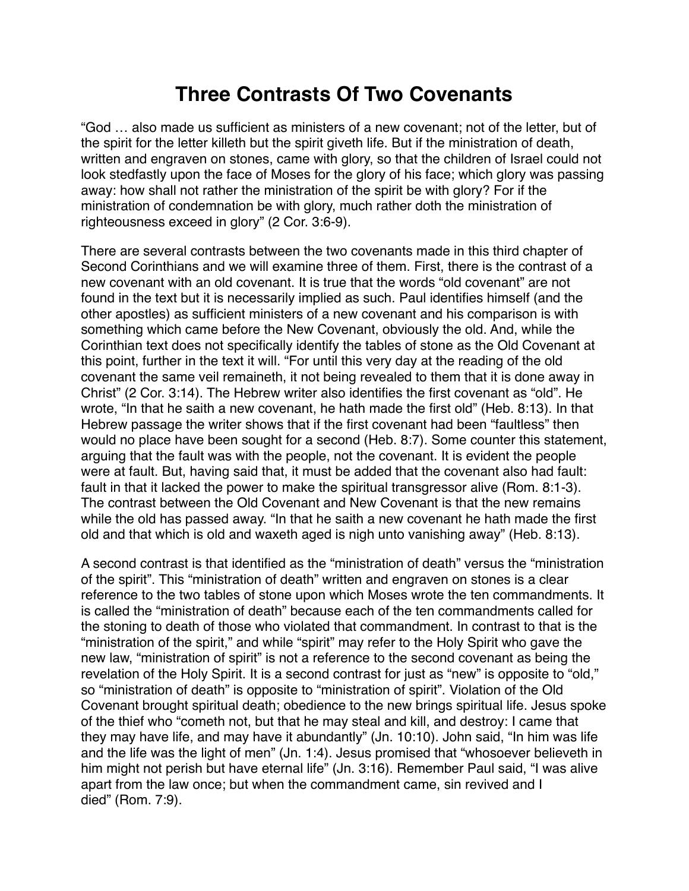## **Three Contrasts Of Two Covenants**

"God … also made us sufficient as ministers of a new covenant; not of the letter, but of the spirit for the letter killeth but the spirit giveth life. But if the ministration of death, written and engraven on stones, came with glory, so that the children of Israel could not look stedfastly upon the face of Moses for the glory of his face; which glory was passing away: how shall not rather the ministration of the spirit be with glory? For if the ministration of condemnation be with glory, much rather doth the ministration of righteousness exceed in glory" (2 Cor. 3:6-9).

There are several contrasts between the two covenants made in this third chapter of Second Corinthians and we will examine three of them. First, there is the contrast of a new covenant with an old covenant. It is true that the words "old covenant" are not found in the text but it is necessarily implied as such. Paul identifies himself (and the other apostles) as sufficient ministers of a new covenant and his comparison is with something which came before the New Covenant, obviously the old. And, while the Corinthian text does not specifically identify the tables of stone as the Old Covenant at this point, further in the text it will. "For until this very day at the reading of the old covenant the same veil remaineth, it not being revealed to them that it is done away in Christ" (2 Cor. 3:14). The Hebrew writer also identifies the first covenant as "old". He wrote, "In that he saith a new covenant, he hath made the first old" (Heb. 8:13). In that Hebrew passage the writer shows that if the first covenant had been "faultless" then would no place have been sought for a second (Heb. 8:7). Some counter this statement, arguing that the fault was with the people, not the covenant. It is evident the people were at fault. But, having said that, it must be added that the covenant also had fault: fault in that it lacked the power to make the spiritual transgressor alive (Rom. 8:1-3). The contrast between the Old Covenant and New Covenant is that the new remains while the old has passed away. "In that he saith a new covenant he hath made the first old and that which is old and waxeth aged is nigh unto vanishing away" (Heb. 8:13).

A second contrast is that identified as the "ministration of death" versus the "ministration of the spirit". This "ministration of death" written and engraven on stones is a clear reference to the two tables of stone upon which Moses wrote the ten commandments. It is called the "ministration of death" because each of the ten commandments called for the stoning to death of those who violated that commandment. In contrast to that is the "ministration of the spirit," and while "spirit" may refer to the Holy Spirit who gave the new law, "ministration of spirit" is not a reference to the second covenant as being the revelation of the Holy Spirit. It is a second contrast for just as "new" is opposite to "old," so "ministration of death" is opposite to "ministration of spirit". Violation of the Old Covenant brought spiritual death; obedience to the new brings spiritual life. Jesus spoke of the thief who "cometh not, but that he may steal and kill, and destroy: I came that they may have life, and may have it abundantly" (Jn. 10:10). John said, "In him was life and the life was the light of men" (Jn. 1:4). Jesus promised that "whosoever believeth in him might not perish but have eternal life" (Jn. 3:16). Remember Paul said, "I was alive apart from the law once; but when the commandment came, sin revived and I died" (Rom. 7:9).